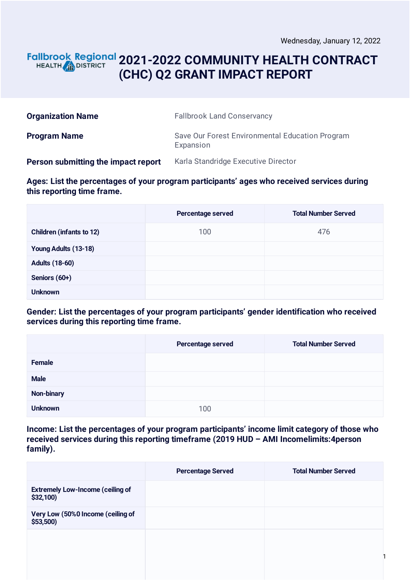### **2021-2022 COMMUNITY HEALTH CONTRACT** HEALTH **AND DISTRICT (CHC) Q2 GRANT IMPACT REPORT**

| <b>Organization Name</b>            | <b>Fallbrook Land Conservancy</b>                            |
|-------------------------------------|--------------------------------------------------------------|
| <b>Program Name</b>                 | Save Our Forest Environmental Education Program<br>Expansion |
| Person submitting the impact report | Karla Standridge Executive Director                          |

**Ages: List the percentages of your program participants' ages who received services during this reporting time frame.**

|                                 | Percentage served | <b>Total Number Served</b> |
|---------------------------------|-------------------|----------------------------|
| <b>Children (infants to 12)</b> | 100               | 476                        |
| Young Adults (13-18)            |                   |                            |
| <b>Adults (18-60)</b>           |                   |                            |
| Seniors (60+)                   |                   |                            |
| <b>Unknown</b>                  |                   |                            |

**Gender: List the percentages of your program participants' gender identification who received services during this reporting time frame.**

|                | Percentage served | <b>Total Number Served</b> |
|----------------|-------------------|----------------------------|
| Female         |                   |                            |
| <b>Male</b>    |                   |                            |
| Non-binary     |                   |                            |
| <b>Unknown</b> | 100               |                            |

**Income: List the percentages of your program participants' income limit category of those who received services during this reporting timeframe (2019 HUD – AMI Incomelimits:4person family).**

|                                                      | <b>Percentage Served</b> | <b>Total Number Served</b> |
|------------------------------------------------------|--------------------------|----------------------------|
| <b>Extremely Low-Income (ceiling of</b><br>\$32,100) |                          |                            |
| Very Low (50%0 Income (ceiling of<br>$$53,500$ )     |                          |                            |
|                                                      |                          |                            |
|                                                      |                          |                            |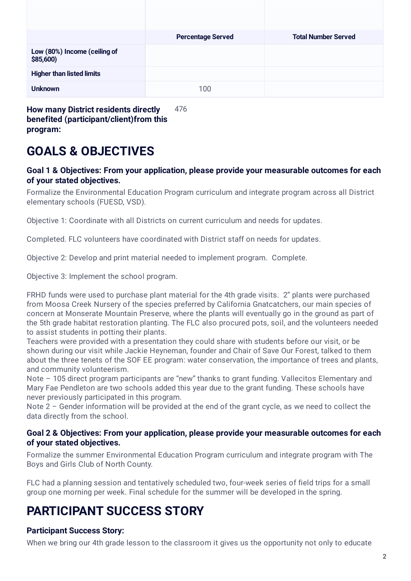|                                                    | <b>Percentage Served</b> | <b>Total Number Served</b> |
|----------------------------------------------------|--------------------------|----------------------------|
| Low (80%) Income (ceiling of<br>\$85,600           |                          |                            |
| <b>Higher than listed limits</b>                   |                          |                            |
| <b>Unknown</b>                                     | 100                      |                            |
| <b>How many District residents directly</b><br>476 |                          |                            |

**How many District residents directly benefited (participant/client)from this program:**

# **GOALS & OBJECTIVES**

#### **Goal 1 & Objectives: From your application, please provide your measurable outcomes for each of your stated objectives.**

Formalize the Environmental Education Program curriculum and integrate program across all District elementary schools (FUESD, VSD).

Objective 1: Coordinate with all Districts on current curriculum and needs for updates.

Completed. FLC volunteers have coordinated with District staff on needs for updates.

Objective 2: Develop and print material needed to implement program. Complete.

Objective 3: Implement the school program.

FRHD funds were used to purchase plant material for the 4th grade visits. 2" plants were purchased from Moosa Creek Nursery of the species preferred by California Gnatcatchers, our main species of concern at Monserate Mountain Preserve, where the plants will eventually go in the ground as part of the 5th grade habitat restoration planting. The FLC also procured pots, soil, and the volunteers needed to assist students in potting their plants.

Teachers were provided with a presentation they could share with students before our visit, or be shown during our visit while Jackie Heyneman, founder and Chair of Save Our Forest, talked to them about the three tenets of the SOF EE program: water conservation, the importance of trees and plants, and community volunteerism.

Note – 105 direct program participants are "new" thanks to grant funding. Vallecitos Elementary and Mary Fae Pendleton are two schools added this year due to the grant funding. These schools have never previously participated in this program.

Note 2 – Gender information will be provided at the end of the grant cycle, as we need to collect the data directly from the school.

#### **Goal 2 & Objectives: From your application, please provide your measurable outcomes for each of your stated objectives.**

Formalize the summer Environmental Education Program curriculum and integrate program with The Boys and Girls Club of North County.

FLC had a planning session and tentatively scheduled two, four-week series of field trips for a small group one morning per week. Final schedule for the summer will be developed in the spring.

## **PARTICIPANT SUCCESS STORY**

### **Participant Success Story:**

When we bring our 4th grade lesson to the classroom it gives us the opportunity not only to educate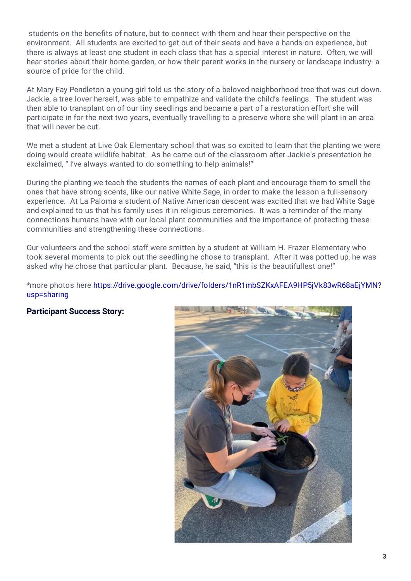students on the benefits of nature, but to connect with them and hear their perspective on the environment. All students are excited to get out of their seats and have a hands-on experience, but there is always at least one student in each class that has a special interest in nature. Often, we will hear stories about their home garden, or how their parent works in the nursery or landscape industry- a source of pride for the child.

At Mary Fay Pendleton a young girl told us the story of a beloved neighborhood tree that was cut down. Jackie, a tree lover herself, was able to empathize and validate the child's feelings. The student was then able to transplant on of our tiny seedlings and became a part of a restoration effort she will participate in for the next two years, eventually travelling to a preserve where she will plant in an area that will never be cut.

We met a student at Live Oak Elementary school that was so excited to learn that the planting we were doing would create wildlife habitat. As he came out of the classroom after Jackie's presentation he exclaimed, " I've always wanted to do something to help animals!"

During the planting we teach the students the names of each plant and encourage them to smell the ones that have strong scents, like our native White Sage, in order to make the lesson a full-sensory experience. At La Paloma a student of Native American descent was excited that we had White Sage and explained to us that his family uses it in religious ceremonies. It was a reminder of the many connections humans have with our local plant communities and the importance of protecting these communities and strengthening these connections.

Our volunteers and the school staff were smitten by a student at William H. Frazer Elementary who took several moments to pick out the seedling he chose to transplant. After it was potted up, he was asked why he chose that particular plant. Because, he said, "this is the beautifullest one!"

\*more photos here [https://drive.google.com/drive/folders/1nR1mbSZKxAFEA9HP5jVk83wR68aEjYMN?](https://drive.google.com/drive/folders/1nR1mbSZKxAFEA9HP5jVk83wR68aEjYMN?usp=sharing) usp=sharing

#### **Participant Success Story:**